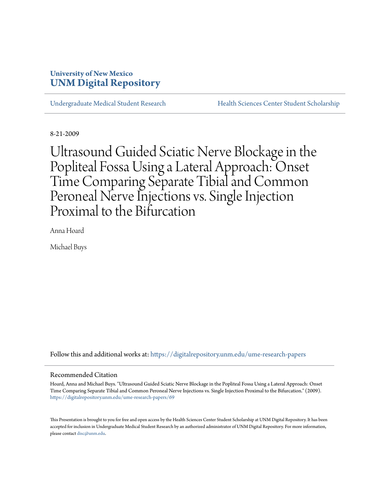# **University of New Mexico [UNM Digital Repository](https://digitalrepository.unm.edu?utm_source=digitalrepository.unm.edu%2Fume-research-papers%2F69&utm_medium=PDF&utm_campaign=PDFCoverPages)**

[Undergraduate Medical Student Research](https://digitalrepository.unm.edu/ume-research-papers?utm_source=digitalrepository.unm.edu%2Fume-research-papers%2F69&utm_medium=PDF&utm_campaign=PDFCoverPages) [Health Sciences Center Student Scholarship](https://digitalrepository.unm.edu/hsc-students?utm_source=digitalrepository.unm.edu%2Fume-research-papers%2F69&utm_medium=PDF&utm_campaign=PDFCoverPages)

8-21-2009

Ultrasound Guided Sciatic Nerve Blockage in the Popliteal Fossa Using a Lateral Approach: Onset Time Comparing Separate Tibial and Common Peroneal Nerve Injections vs. Single Injection Proximal to the Bifurcation

Anna Hoard

Michael Buys

Follow this and additional works at: [https://digitalrepository.unm.edu/ume-research-papers](https://digitalrepository.unm.edu/ume-research-papers?utm_source=digitalrepository.unm.edu%2Fume-research-papers%2F69&utm_medium=PDF&utm_campaign=PDFCoverPages)

# Recommended Citation

Hoard, Anna and Michael Buys. "Ultrasound Guided Sciatic Nerve Blockage in the Popliteal Fossa Using a Lateral Approach: Onset Time Comparing Separate Tibial and Common Peroneal Nerve Injections vs. Single Injection Proximal to the Bifurcation." (2009). [https://digitalrepository.unm.edu/ume-research-papers/69](https://digitalrepository.unm.edu/ume-research-papers/69?utm_source=digitalrepository.unm.edu%2Fume-research-papers%2F69&utm_medium=PDF&utm_campaign=PDFCoverPages)

This Presentation is brought to you for free and open access by the Health Sciences Center Student Scholarship at UNM Digital Repository. It has been accepted for inclusion in Undergraduate Medical Student Research by an authorized administrator of UNM Digital Repository. For more information, please contact [disc@unm.edu.](mailto:disc@unm.edu)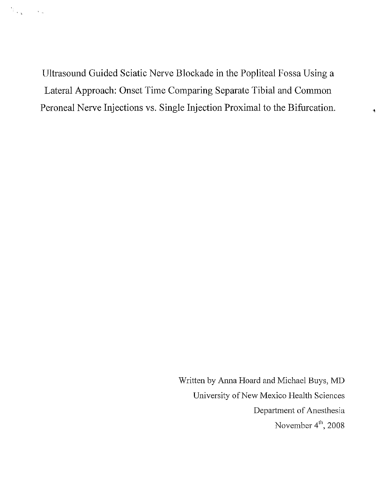Ultrasound Guided Sciatic Nerve Blockade in the Popliteal Fossa Using a Lateral Approach: Onset Time Comparing Separate Tibial and Common Peroneal Nerve Injections vs. Single Injection Proximal to the Bifurcation.

> Written by Anna Hoard and Michael Buys, MD University of New Mexico Health Sciences Department of Anesthesia November  $4^{\text{th}}$ , 2008

 $\blacktriangleleft$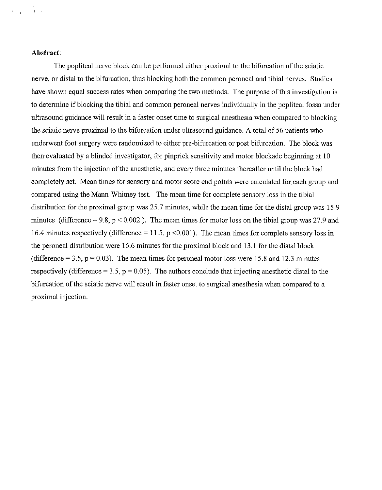# **Abstract:**

 $\lambda$  ,  $\lambda$  ,  $\lambda$  ,  $\lambda$ 

The popliteal nerve block can be performed either proximal to the bifurcation of the sciatic nerve, or distal to the bifurcation, thus blocking both the common peroneal and tibial nerves. Studies have shown equal success rates when comparing the two methods. The purpose of this investigation is to determine if blocking the tibial and common peroneal nerves individually in the popliteal fossa under ultrasound guidance will result in a faster onset time to surgical anesthesia when compared to blocking the sciatic nerve proximal to the bifurcation under ultrasound guidance. A total of 56 patients who underwent foot surgery were randomized to either pre-bifurcation or post bifurcation. The block was then evaluated by a blinded investigator, for pinprick sensitivity and motor blockade beginning at 10 minutes from the injection of the anesthetic, and every three minutes thereafter until the block had completely set. Mean times for sensory and motor score end points were calculated for each group and compared using the Mann-Whitney test. The mean time for complete sensory loss in the tibial distribution for the proximal group was 25.7 minutes, while the mean time for the distal group was 15.9 minutes (difference = 9.8,  $p < 0.002$ ). The mean times for motor loss on the tibial group was 27.9 and 16.4 minutes respectively (difference  $= 11.5$ , p <0.001). The mean times for complete sensory loss in the peroneal distribution were 16.6 minutes for the proximal block and 13.1 for the distal block (difference  $= 3.5$ ,  $p = 0.03$ ). The mean times for peroneal motor loss were 15.8 and 12.3 minutes respectively (difference = 3.5,  $p = 0.05$ ). The authors conclude that injecting anesthetic distal to the bifurcation of the sciatic nerve will result in faster onset to smgical anesthesia when compared to a proximal injection.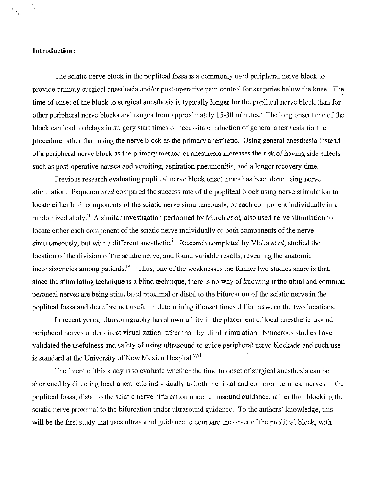# **Introduction:**

 $\hat{V}_{\rm{in}}$ 

The sciatic nerve block in the popliteal fossa is a commonly used peripheral nerve block to provide primary surgical anesthesia and/or post-operative pain control for surgeries below the knee. The time of onset of the block to surgical anesthesia is typically longer for the popliteal nerve block than for other peripheral nerve blocks and ranges from approximately 15-30 minutes.<sup>i</sup> The long onset time of the block can lead to delays in surgery start times or necessitate induction of general anesthesia for the procedure rather than using the nerve block as the primary anesthetic. Using general anesthesia instead of a peripheral nerve block as the primary method of anesthesia increases the risk of having side effects such as post-operative nausea and vomiting, aspiration pneumonitis, and a longer recovery time.

Previous research evaluating popliteal nerve block onset times has been done using nerve stimulation. Paqueron *e/ at* compared the success rate of the popliteal block using nerve stimulation to locate either both components of the sciatic nerve simultaneously, or each component individually in a randomized study.<sup>ii</sup> A similar investigation performed by March *et al*, also used nerve stimulation to locate either each component of the sciatic nerve individually or both components of the nerve simultaneously, but with a different anesthetic.<sup>iii</sup> Research completed by Vloka *et al*, studied the location of the division of the sciatic nerve, and found variable results, revealing the anatomic inconsistencies among patients.<sup>iv</sup> Thus, one of the weaknesses the former two studies share is that, since the stimulating technique is a blind technique, there is no way of knowing if the tibial and common peroneal nerves are being stimulated proximal or distal to the bifurcation of the sciatic nerve in the popliteal fossa and therefore not useful in determining if onset times differ between the two locations.

In recent years, ultrasonography has shown utility in the placement of local anesthetic around peripheral nerves under direct visualization rather than by blind stimulation. Numerous studies have validated the usefulness and safety of using ultrasound to guide peripheral nerve blockade and such use is standard at the University of New Mexico Hospital.<sup>v,vi</sup>

The intent of this study is to evaluate whether the time to onset of surgical anesthesia can be shortened by directing local anesthetic individually to both the tibial and common peroneal nerves in the popliteal fossa, distal to the sciatic nerve bifurcation under ultrasound guidance, rather than blocking the sciatic nerve proximal to the bifurcation under ultrasound guidance. To the authors' knowledge, this will be the first study that uses ultrasound guidance to compare the onset of the popliteal block, with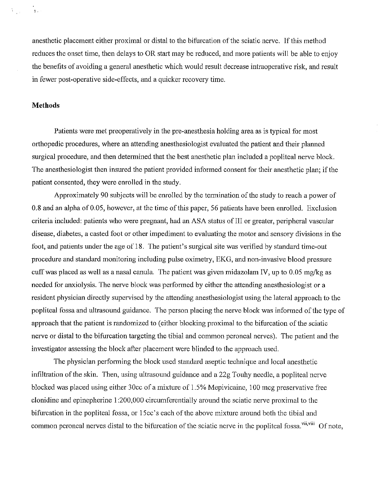anesthetic placement either proximal or distal to the bifurcation of the sciatic nerve. If this method reduces the onset time, then delays to OR start may be reduced, and more patients will be able to enjoy the benefits of avoiding a general anesthetic which would result decrease intraoperative risk, and result in fewer post-operative side-effects, and a quicker recovery time.

# **Methods**

 $\frac{1}{2} \sum_{i=1}^n \frac{1}{2} \sum_{j=1}^n \frac{1}{2} \sum_{j=1}^n \frac{1}{2} \sum_{j=1}^n \frac{1}{2} \sum_{j=1}^n \frac{1}{2} \sum_{j=1}^n \frac{1}{2} \sum_{j=1}^n \frac{1}{2} \sum_{j=1}^n \frac{1}{2} \sum_{j=1}^n \frac{1}{2} \sum_{j=1}^n \frac{1}{2} \sum_{j=1}^n \frac{1}{2} \sum_{j=1}^n \frac{1}{2} \sum_{j=1}^n \frac{1}{2} \sum_{j=$ 

Patients were met preoperatively in the pre-anesthesia holding area as is typical for most orthopedic procedures, where an attending anesthesiologist evaluated the patient and their planned surgical procedure, and then determined that the best anesthetic plan included a popliteal nerve block. The anesthesiologist then insured the patient provided informed consent for their anesthetic plan; if the patient consented, they were enrolled in the study.

Approximately 90 subjects will be enrolled by the termination of the study to reach a power of 0.8 and an alpha of 0.05, however, at the time of this paper, 56 patients have been enrolled. Exclusion criteria included: patients who were pregnant, had an ASA status of III or greater, peripheral vascular disease, diabetes, a casted foot or other impediment to evaluating the motor and sensory divisions in the foot, and patients under the age of 18. The patient's surgical site was verified by standard time-out procedure and standard monitoring including pulse oximetry, EKG, and non-invasive blood pressure cuff was placed as well as a nasal canula. The patient was given midazolam IV, up to 0.05 mg/kg as needed for anxiolysis. The nerve block was performed by either the attending anesthesiologist or a resident physician directly supervised by the attending anesthesiologist using the lateral approach to the popliteal fossa and ultrasound guidance. The person placing the nerve block was informed of the type of approach that the patient is randomized to (either blocking proximal to the bifurcation of the sciatic nerve or distal to the bifurcation targeting the tibial and common peroneal nerves). The patient and the investigator assessing the block after placement were blinded to the approach used.

The physician performing the block used standard aseptic technique and local anesthetic infiltration of the skin. Then, using ultrasound guidance and a 22g Touhy needle, a popliteal nerve blocked was placed using either 30cc of a mixture of 1.5% Mepivicaine, 100 mcg preservative free clonidine and epinepherine 1 :200,000 circumferentially around the sciatic nerve proximal to the bifurcation in the popliteal fossa, or 15cc's each of the above mixture around both the tibial and common peroneal nerves distal to the bifurcation of the sciatic nerve in the popliteal fossa.<sup>vii,viii</sup> Of note,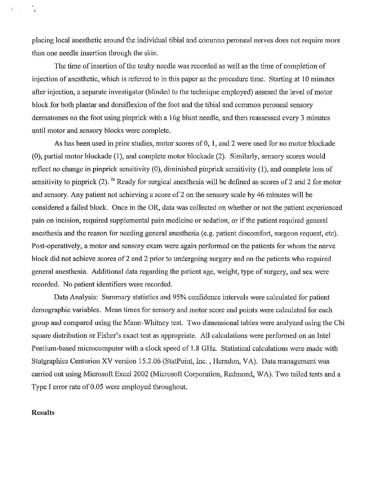placing local anesthetic around the individual tibial and common peroneal nerves does not require more than one needle insertion through the skin.

The time of insertion of the touhy needle was recorded as well as the time of completion of injection of anesthetic, which is referred to in this paper as the procedure time. Starting at 10 minutes after injection, a separate investigator (blinded to the technique employed) assesed the level of motor block for both plantar and dorsiflexion of the foot and the tibial and common peroneal sensory dermatomes on the foot using pinprick with a 16g blunt needle, and then reassessed every 3 minutes until motor and sensory blocks were complete.

As has been used in prior studies, motor scores of 0, I, and 2 were used for no motor blockade (0), partial motor blockade (1), and complete motor blockade (2). Similarly, sensory scores would reflect no change in pinprick sensitivity (0), diminished pinprick sensitivity (1), and complete loss of sensitivity to pinprick (2). <sup>ix</sup> Ready for surgical anesthesia will be defined as scores of 2 and 2 for motor and sensory. Any patient not achieving a score of 2 on the sensory scale by 46 minutes will be considered a failed block. Once in the OR, data was collected on whether or not the patient experienced pain on incision, required supplemental pain medicine or sedation, or if the patient required general anesthesia and the reason for needing general anesthesia (e.g. patient discomfort, surgeon request, etc). Post-operatively, a motor and sensory exam were again performed on the patients for whom the nerve block did not achieve scores of 2 and 2 prior to undergoing surgery and on the patients who required general anesthesia. Additional data regarding the patient age, weight, type of surgery, and sex were recorded. No patient identifiers were recorded.

Data Analysis: Summary statistics and 95% confidence intervals were calculated for patient demographic variables. Mean times for sensory and motor score end points were calculated for each group and compared using the Mann-Whitney test. Two dimensional tables were analyzed using the Chi square distribution or Fisher's exact test as appropriate. All calculations were performed on an Intel Pentium-based microcomputer with a clock speed of 1.8 GHz. Statistical calculations were made with Statgraphics Centurion XV version 15.2.06 (StatPoint, Inc. , Herndon, VA). Data management was carried out using Microsoft Excel 2002 (Microsoft Corporation, Redmond, W A). Two tailed tests and a Type I error rate of 0.05 were employed throughout.

#### **Results**

 $\mathcal{N}_{\rm{max}}$ 

 $\Delta$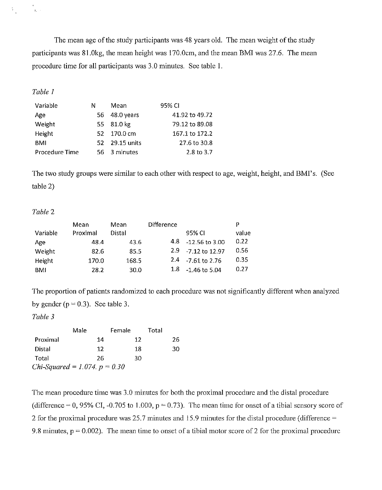The mean age of the study participants was 48 years old. The mean weight of the study participants was 81.0kg, the mean height was 170.0cm, and the mean BMI was 27.6. The mean procedure time for all participants was 3.0 minutes. See table 1.

# *Table 1*

 $\mathcal{H}_{\mathcal{L}}$  .

 $\hat{\mathbf{E}}^{(1)}$ 

| Variable       | N | Mean           | 95% CI         |
|----------------|---|----------------|----------------|
| Age            |   | 56 48.0 years  | 41.92 to 49.72 |
| Weight         |   | 55 81.0 kg     | 79.12 to 89.08 |
| Height         |   | 52 170.0 cm    | 167.1 to 172.2 |
| BMI            |   | 52 29.15 units | 27.6 to 30.8   |
| Procedure Time |   | 56 3 minutes   | 2.8 to 3.7     |

The two study groups were similar to each other with respect to age, weight, height, and BMI's. (See table 2)

# *Table* 2

|          | Mean     | Mean   | <b>Difference</b> |                       | P     |
|----------|----------|--------|-------------------|-----------------------|-------|
| Variable | Proximal | Distal |                   | 95% CL                | value |
| Age      | 48.4     | 43.6   | 4.8               | -12.56 to 3.00        | 0.22  |
| Weight   | 82.6     | 85.5   |                   | $2.9 - 7.12$ to 12.97 | 0.56  |
| Height   | 170.0    | 168.5  |                   | 2.4 - 7.61 to 2.76    | 0.35  |
| BMI      | 28.2     | 30.0   |                   | $1.8 - 1.46$ to 5.04  | 0.27  |

The proportion of patients randomized to each procedure was not significantly different when analyzed by gender ( $p = 0.3$ ). See table 3.

*Table 3* 

|                                        | Male | Female | Total |
|----------------------------------------|------|--------|-------|
| Proximal                               | 14   | 12     | 26    |
| Distal                                 | 12   | 18     | 30    |
| Total                                  | 26   | 30     |       |
| <i>Chi-Squared</i> = 1.074. $p = 0.30$ |      |        |       |

The mean procedure time was 3.0 minutes for both the proximal procedure and the distal procedure (difference = 0, 95% CI, -0.705 to 1.000,  $p = 0.73$ ). The mean time for onset of a tibial sensory score of 2 for the proximal procedure was 25.7 minutes and 15.9 minutes for the distal procedure (difference  $=$ 9.8 minutes,  $p = 0.002$ ). The mean time to onset of a tibial motor score of 2 for the proximal procedure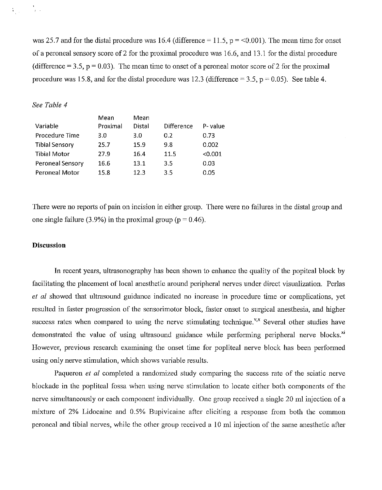was 25.7 and for the distal procedure was 16.4 (difference  $= 11.5$ ,  $p = 0.001$ ). The mean time for onset of a peroneal sensory score of 2 for the proximal procedure was 16.6, and 13.1 for the distal procedme (difference = 3.5,  $p = 0.03$ ). The mean time to onset of a peroneal motor score of 2 for the proximal procedure was 15.8, and for the distal procedure was 12.3 (difference  $= 3.5$ ,  $p = 0.05$ ). See table 4.

# *See Table 4*

 $\begin{array}{c} 0 \\ 0 \\ 0 \end{array}$ 

 $V_{\rm gas}$  .

|                       | Mean     | Mean   |                   |         |
|-----------------------|----------|--------|-------------------|---------|
| Variable              | Proximal | Distal | <b>Difference</b> | P-value |
| Procedure Time        | 3.0      | 3.0    | 0.2               | 0.73    |
| <b>Tibial Sensory</b> | 25.7     | 15.9   | 9.8               | 0.002   |
| <b>Tibial Motor</b>   | 27.9     | 16.4   | 11.5              | < 0.001 |
| Peroneal Sensory      | 16.6     | 13.1   | 3.5               | 0.03    |
| Peroneal Motor        | 15.8     | 12.3   | 3.5               | 0.05    |

There were no reports of pain on incision in either group. There were no failures in the distal group and one single failure (3.9%) in the proximal group ( $p = 0.46$ ).

# **Discussion**

In recent years, ultrasonography has been shown to enhance the quality of the popiteal block by facilitating the placement of local anesthetic around peripheral nerves under direct visualization. Perlas *et al* showed that ultrasound guidance indicated no increase **in** procedme time or complications, yet resulted in faster progression of the sensorimotor block, faster onset to surgical anesthesia, and higher success rates when compared to using the nerve stimulating technique.<sup> $v, x$ </sup> Several other studies have demonstrated the value of using ultrasound guidance while performing peripheral nerve blocks.<sup>xi</sup> However, previous research examining the onset time for popliteal nerve block has been performed using only nerve stimulation, which shows variable results.

Paqueron *et al* completed a randomized study comparing the success rate of the sciatic nerve blockade in the popliteal fossa when using nerve stimulation to locate either both components of the nerve simultaneously or each component individually. One group received a single 20 ml injection of a mixture of 2% Lidocaine and 0.5% Bupivicaine after eliciting a response from both the common peroneal and tibial nerves, while the other group received a 10 ml injection of the same anesthetic after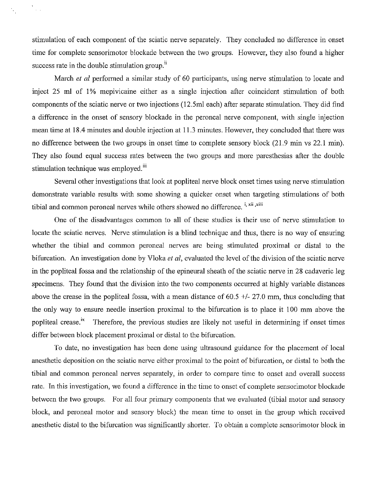stimulation of each component of the sciatic nerve separately. They concluded no difference in onset time for complete sensorimotor blockade between the two groups. However, they also found a higher success rate in the double stimulation group.<sup>ii</sup>

 $\frac{1}{2} \frac{1}{2}$  .

March *et al* performed a similar study of 60 participants, using nerve stimulation to locate and inject 25 ml of 1% mepivicaine either as a single injection after coincident stimulation of both components of the sciatic nerve or two injections (12.5ml each) after separate stimulation. They did find a difference in the onset of sensory blockade in the peroneal nerve component, with single injection mean time at 18.4 minutes and double injection at 11.3 minutes. However, they concluded that there was no difference between the two groups in onset time to complete sensory block (21.9 min vs 22.1 min). They also found equal success rates between the two groups and more paresthesias after the double stimulation technique was employed.<sup>iii</sup>

Several other investigations that look at popliteal nerve block onset times using nerve stimulation demonstrate variable results with some showing a quicker onset when targeting stimulations of both tibial and common peroneal nerves while others showed no difference.<sup>i, xii</sup>, xiii

One of the disadvantages common to all of these studies is their use of nerve stimulation to locate the sciatic nerves. Nerve stimulation is a blind technique and thus, there is no way of ensuring whether the tibial and common peroneal nerves are being stimulated proximal or distal to the bifurcation. An investigation done by Vloka *et al*, evaluated the level of the division of the sciatic nerve in the popliteal fossa and the relationship of the epineural sheath of the sciatic nerve in 28 cadaveric leg specimens. They found that the division into the two components occurred at highly variable distances above the crease in the popliteal fossa, with a mean distance of  $60.5 +/27.0$  mm, thus concluding that the only way to ensure needle insertion proximal to the bifurcation is to place it 100 mm above the popliteal crease.<sup>ix</sup> Therefore, the previous studies are likely not useful in determining if onset times differ between block placement proximal or distal to the bifurcation.

To date, no investigation has been done using ultrasound guidance for the placement of local anesthetic deposition on the sciatic nerve either proximal to the point of bifurcation, or distal to both the tibial and common peroneal nerves separately, in order to compare time to onset and overall success rate. In this investigation, we found a difference in the time to onset of complete sensorimotor blockade between the two groups. For all four primary components that we evaluated (tibial motor and sensory block, and peroneal motor and sensory block) the mean time to onset in the group which received anesthetic distal to the bifurcation was significantly shorter. To obtain a complete sensorimotor block in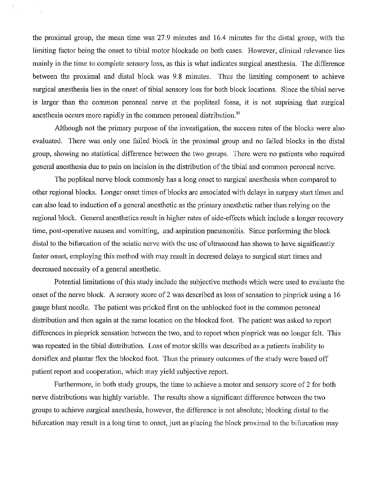the proximal group, the mean time was 27.9 minutes and 16.4 minutes for the distal group, with the limiting factor being the onset to tibial motor blockade on both cases. However, clinical relevance lies mainly in the time to complete sensory loss, as this is what indicates surgical anesthesia. The difference between the proximal and distal block was 9.8 minutes. Thus the limiting component to achieve surgical anesthesia lies in the onset of tibial sensory loss for both block locations. Since the tibial nerve is larger than the common peroneal nerve at the popliteal fossa, it is not suprising that surgical anesthesia occurs more rapidly in the common peroneal distribution.<sup>xi</sup>

Although not the primary purpose of the investigation, the success rates of the blocks were also evaluated. There was only one failed block in the proximal group and no failed blocks in the distal group, showing no statistical difference between the two groups. There were no patients who required general anesthesia due to pain on incision in the distribution of the tibial and common peroneal nerve.

The popliteal nerve block commonly has a long onset to surgical anesthesia when compared to other regional blocks. Longer onset times of blocks are associated with delays in surgery start times and can also lead to induction of a general anesthetic as the primary anesthetic rather than relying on the regional block. General anesthetics result in higher rates of side-effects which include a longer recovery time, post-operative nausea and vomitting, and aspiration pneumonitis. Since performing the block distal to the bifurcation of the sciatic nerve with the usc of ultrasound has shown to have significantly faster onset, employing this method with may result in decresed delays to surgical start times and decreased necessity of a general anesthetic.

Potential limitations of this study include the subjective methods which were used to evaluate the onset of the nerve block. A sensory score of 2 was described as loss of sensation to pinprick using a 16 gauge blunt needle. The patient was pricked first on the unblocked foot in the common peroneal distribution and then again at the same location on the blocked foot. The patient was asked to report differences in pinprick sensation between the two, and to report when pinprick was no longer felt. This was repeated in the tibial distribution. Loss of motor skills was described as a patients inability to dorsiflex and plantar flex the blocked foot. Thus the primary outcomes of the study were based off patient report and cooperation, which may yield subjective report.

Furthermore, in both study groups, the time to achieve a motor and sensory score of 2 for both nerve distributions was highly variable. The results show a significant difference between the two groups to achieve surgical anesthesia, however, the difference is not absolute; blocking distal to the bifurcation may result in a long time to onset, just as placing the block proximal to the bifurcation may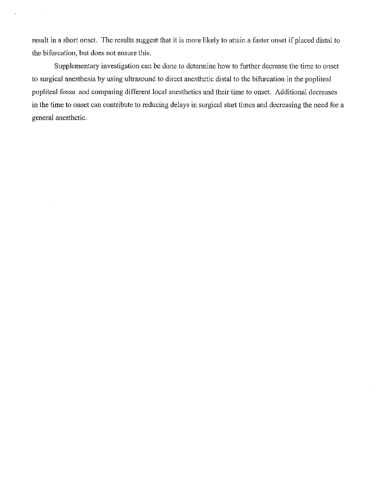result in a short onset. The results suggest that it is more likely to attain a faster onset if placed distal to the bifurcation, but does not ensure this.

 $\bar{\alpha}$ 

Supplementary investigation can be done to determine how to further decrease the time to onset to surgical anesthesia by using ultrasound to direct anesthetic distal to the bifurcation in the popliteal popliteal fossa and comparing different local anesthetics and their time to onset. Additional decreases in the time to onset can contribute to reducing delays in surgical start times and decreasing the need for a general anesthetic.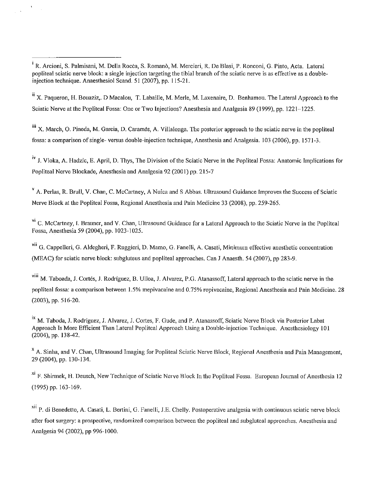$\bar{V}$ 

 $\sqrt{3}$ 

ii X. Paqueron, H. Bouaziz,. D Macalou, T. Labaille, M. Merle, M. Laxenaire, D. Benhamou. The Lateral Approach to the Sciatic Nerve at the Popliteal Fossa: One or Two Injections? Anesthesia and Analgesia 89 (1999), pp. 1221-1225.

iii X. March, O. Pineda, M. Garcia, D. Carames, A. Villalonga. The posterior approach to the sciatic nerve in the popliteal fossa: a comparison of single- versus double-injection technique, Anesthesia and Analgesia. 103 (2006), pp. 1571-3.

iv J. Vloka, A. Hadzic, E. April, D. Thys, The Division of the Sciatic Nerve in the Popliteal Fossa: Anatomic Implications for Popliteal Nerve Blockade, Anesthesia and Analgesia 92 (2001) pp. 215-7

 $V$  A. Perlas, R. Brull, V. Chan, C. McCartney, A Nuica and S Abbas. Ultrasound Guidance Improves the Success of Sciatic Nerve Block at the Popliteal Fossa, Regional Anesthesia and Pain Medicine 33 (2008), pp. 259-265.

<sup>vi</sup> C. McCartney, I. Brauner, and V. Chan, Ultrasound Guidance for a Lateral Approach to the Sciatic Nerve in the Popliteal Fossa, Anesthesia 59 (2004), pp. 1023-1025.

**vii G. Cappelleri, G. Aldegheri, F. Ruggieri, D. Mama, G. Fanelli, A. Casati, Minimum effective anesthetic concentration**  (MEAC) for sciatic nerve block: subgluteus and popliteal approaches. Can J Anaesth. 54 (2007), pp 283-9.

viii M. Taboada, J. Cortes, J. Rodriguez, B. Ulloa, J. Alvarez, P.G. Atanassoff, Lateral approach to the sciatic nerve in the **popliteal fossa: a comparison between 1.5% mepivacaine and 0.75% ropivacaine, Regional Anesthesia and Pain Medicine. 28**  (2003), pp. 516-20.

ix M. Taboda, J. Rodriguez, J. Alvarez, J. Cortes, F. Gude, and P. Atanassoff, Sciatic Nerve Block via Posterior Labat Approach Is More Efficient Than Lateral Popliteal Approach Using a Double-injection Technique. Anesthesiology 101 (2004), pp. 138-42.

**x A. Sinha, and V. Chan, Ultrasound Imaging for Popliteal Sciatic Nerve Block, Regional Anesthesia and Pain Management,**  29 (2004), pp. 130-134.

xi F. Shirmek, H. Deusch, New Technique of Sciatic Nerve Block In the Popliteal Fossa. European loumal of Anesthesia 12 (1995) pp. 163-169.

**xii P. di Benedetto, A. Casati, L. Bertini, G. Fanelli, lE. Chelly. Postoperative analgesia with continuous sciatic nerve block**  after foot surgery: a prospective, randomized comparison between the popliteal and subgluteal approaches. Anesthesia and Analgesia 94 (2002), pp 996-1000.

<sup>&</sup>lt;sup>i</sup> R. Arcioni, S. Palmisani, M. Della Rocca, S. Romanò, M. Mercieri, R. De Blasi, P. Ronconi, G. Pinto, Acta. Lateral **popliteal sciatic nerve block: a single injection targeting the tibial branch** of the **sciatic nerve is as effective as a double**injection technique. Anaesthesiol Scand. 51 (2007), pp. 115-21.